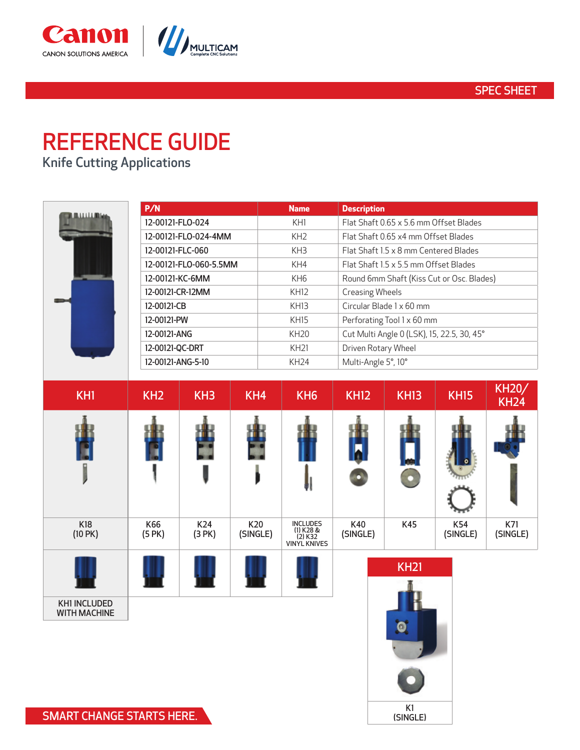

# REFERENCE GUIDE

Canon SOLUTIONS AMERICA

Knife Cutting Applications

CANON SOLUTIONS AMERICA

| <b>ALLAMINAA</b> | P/N                    | <b>Name</b>      | <b>Description</b>                         |
|------------------|------------------------|------------------|--------------------------------------------|
|                  | 12-00121-FLO-024       | KH1              | Flat Shaft 0.65 x 5.6 mm Offset Blades     |
|                  | 12-00121-FLO-024-4MM   | KH <sub>2</sub>  | Flat Shaft 0.65 x4 mm Offset Blades        |
|                  | 12-00121-FLC-060       | KH <sub>3</sub>  | Flat Shaft 1.5 x 8 mm Centered Blades      |
|                  | 12-00121-FLO-060-5.5MM | KH4              | Flat Shaft 1.5 x 5.5 mm Offset Blades      |
|                  | 12-00121-KC-6MM        | KH <sub>6</sub>  | Round 6mm Shaft (Kiss Cut or Osc. Blades)  |
|                  | 12-00121-CR-12MM       | <b>KH12</b>      | <b>Creasing Wheels</b>                     |
|                  | 12-00121-CB            | <b>KH13</b>      | Circular Blade 1 x 60 mm                   |
|                  | 12-00121-PW            | <b>KH15</b>      | Perforating Tool 1 x 60 mm                 |
|                  | 12-00121-ANG           | KH <sub>20</sub> | Cut Multi Angle 0 (LSK), 15, 22.5, 30, 45° |
|                  | 12-00121-QC-DRT        | <b>KH21</b>      | Driven Rotary Wheel                        |
|                  | 12-00121-ANG-5-10      | KH24             | Multi-Angle 5°, 10°                        |



K1 (SINGLE)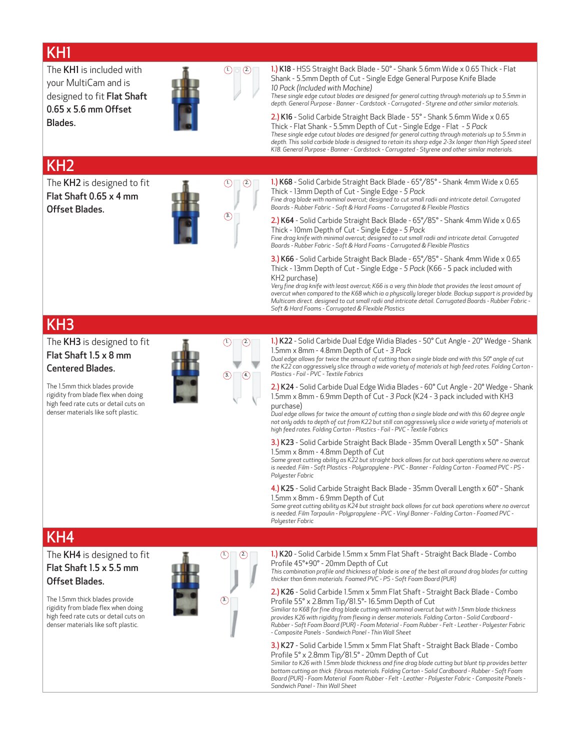### KH1

The KH1 is included with your MultiCam and is designed to fit Flat Shaft 0.65 x 5.6 mm Offset Blades.



 $(1)$   $(2)$ 

 $\circled{3}$ 

 $(2)$  1.) K18 - HSS Straight Back Blade - 50° - Shank 5.6mm Wide x 0.65 Thick - Flat Shank - 5.5mm Depth of Cut - Single Edge General Purpose Knife Blade *10 Pack (Included with Machine)*

> *These single edge cutout blades are designed for general cutting through materials up to 5.5mm in depth. General Purpose - Banner - Cardstock - Corrugated - Styrene and other similar materials.*

2.) K16 - Solid Carbide Straight Back Blade - 55° - Shank 5.6mm Wide x 0.65 Thick - Flat Shank - 5.5mm Depth of Cut - Single Edge - Flat - *5 Pack These single edge cutout blades are designed for general cutting through materials up to 5.5mm in depth. This solid carbide blade is designed to retain its sharp edge 2-3x longer than High Speed steel K18. General Purpose - Banner - Cardstock - Corrugated - Styrene and other similar materials.*

### KH2

The KH2 is designed to fit Flat Shaft 0.65 x 4 mm Offset Blades.



1.) K68 - Solid Carbide Straight Back Blade - 65°/85° - Shank 4mm Wide x 0.65 Thick - 13mm Depth of Cut - Single Edge - *5 Pack*

*Fine drag blade with nominal overcut; designed to cut small radii and intricate detail. Corrugated Boards - Rubber Fabric - Soft & Hard Foams - Corrugated & Flexible Plastics*

2.) K64 - Solid Carbide Straight Back Blade - 65°/85° - Shank 4mm Wide x 0.65 Thick - 10mm Depth of Cut - Single Edge - *5 Pack*

*Fine drag knife with minimal overcut; designed to cut small radii and intricate detail. Corrugated Boards - Rubber Fabric - Soft & Hard Foams - Corrugated & Flexible Plastics*

3.) K66 - Solid Carbide Straight Back Blade - 65°/85° - Shank 4mm Wide x 0.65 Thick - 13mm Depth of Cut - Single Edge - *5 Pack* (K66 - 5 pack included with KH2 purchase)

*Very fine drag knife with least overcut; K66 is a very thin blade that provides the least amount of overcut when compared to the K68 which ia a physically lareger blade. Backup support is provided by Multicam direct. designed to cut small radii and intricate detail. Corrugated Boards - Rubber Fabric - Soft & Hard Foams - Corrugated & Flexible Plastics*

#### KH3

The KH3 is designed to fit Flat Shaft 1.5 x 8 mm

Centered Blades.

The 1.5mm thick blades provide rigidity from blade flex when doing high feed rate cuts or detail cuts on denser materials like soft plastic.



1.) K22 - Solid Carbide Dual Edge Widia Blades - 50° Cut Angle - 20° Wedge - Shank 1.5mm x 8mm - 4.8mm Depth of Cut - *3 Pack*

*Dual edge allows for twice the amount of cutting than a single blade and with this 50° angle of cut the K22 can aggressively slice through a wide variety of materials at high feed rates. Folding Carton - Plastics - Foil - PVC - Textile Fabrics*

2.) K24 - Solid Carbide Dual Edge Widia Blades - 60° Cut Angle - 20° Wedge - Shank 1.5mm x 8mm - 6.9mm Depth of Cut - *3 Pack* (K24 - 3 pack included with KH3 purchase)

*Dual edge allows for twice the amount of cutting than a single blade and with this 60 degree angle not only adds to depth of cut from K22 but still can aggressively slice a wide variety of materials at high feed rates. Folding Carton - Plastics - Foil - PVC - Textile Fabrics*

#### 3.) K23 - Solid Carbide Straight Back Blade - 35mm Overall Length x 50° - Shank 1.5mm x 8mm - 4.8mm Depth of Cut

*Same great cutting ability as K22 but straight back allows for cut back operations where no overcut is needed. Film - Soft Plastics - Polypropylene - PVC - Banner - Folding Carton - Foamed PVC - PS - Polyester Fabric*

#### 4.) K25 - Solid Carbide Straight Back Blade - 35mm Overall Length x 60° - Shank 1.5mm x 8mm - 6.9mm Depth of Cut

*Same great cutting ability as K24 but straight back allows for cut back operations where no overcut is needed. Film Tarpaulin - Polypropylene - PVC - Vinyl Banner - Folding Carton - Foamed PVC - Polyester Fabric*

#### KH4

The KH4 is designed to fit Flat Shaft 1.5 x 5.5 mm Offset Blades.

The 1.5mm thick blades provide rigidity from blade flex when doing high feed rate cuts or detail cuts on denser materials like soft plastic.



 $(2)$ 

1.) K20 - Solid Carbide 1.5mm x 5mm Flat Shaft - Straight Back Blade - Combo Profile 45°+90° - 20mm Depth of Cut

*This combination profile and thickness of blade is one of the best all around drag blades for cutting thicker than 6mm materials. Foamed PVC - PS - Soft Foam Board (PUR)*

2.) K26 - Solid Carbide 1.5mm x 5mm Flat Shaft - Straight Back Blade - Combo Profile 55° x 2.8mm Tip/81.5°- 16.5mm Depth of Cut

*Similiar to K68 for fine drag blade cutting with nominal overcut but with 1.5mm blade thickness provides K26 with rigidity from flexing in denser materials. Folding Carton - Solid Cardboard - Rubber - Soft Foam Board (PUR) - Foam Material - Foam Rubber - Felt - Leather - Polyester Fabric - Composite Panels - Sandwich Panel - Thin Wall Sheet*

3.) K27 - Solid Carbide 1.5mm x 5mm Flat Shaft - Straight Back Blade - Combo Profile 5° x 2.8mm Tip/81.5° - 20mm Depth of Cut

*Similiar to K26 with 1.5mm blade thickness and fine drag blade cutting but blunt tip provides better bottom cutting on thick fibrous materials. Folding Carton - Solid Cardboard - Rubber - Soft Foam Board (PUR) - Foam Material Foam Rubber - Felt - Leather - Polyester Fabric - Composite Panels - Sandwich Panel - Thin Wall Sheet*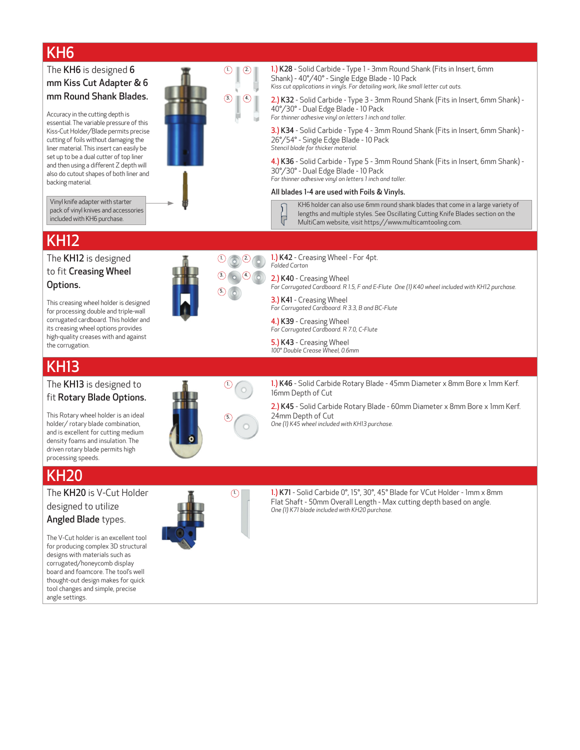## KH6